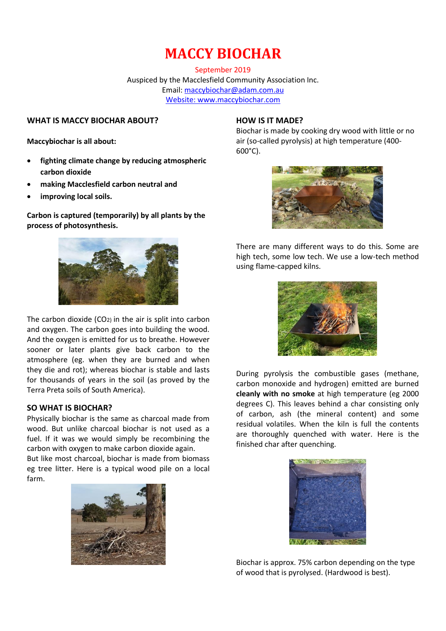# **MACCY BIOCHAR**

September 2019 Auspiced by the Macclesfield Community Association Inc. Email: [maccybiochar@adam.com.au](mailto:maccybiochar@adam.com.au) Website: www.maccybiochar.com

#### **WHAT IS MACCY BIOCHAR ABOUT?**

**Maccybiochar is all about:**

- **fighting climate change by reducing atmospheric carbon dioxide**
- **making Macclesfield carbon neutral and**
- **improving local soils.**

**Carbon is captured (temporarily) by all plants by the process of photosynthesis.** 



The carbon dioxide (CO2) in the air is split into carbon and oxygen. The carbon goes into building the wood. And the oxygen is emitted for us to breathe. However sooner or later plants give back carbon to the atmosphere (eg. when they are burned and when they die and rot); whereas biochar is stable and lasts for thousands of years in the soil (as proved by the Terra Preta soils of South America).

#### **SO WHAT IS BIOCHAR?**

Physically biochar is the same as charcoal made from wood. But unlike charcoal biochar is not used as a fuel. If it was we would simply be recombining the carbon with oxygen to make carbon dioxide again.

But like most charcoal, biochar is made from biomass eg tree litter. Here is a typical wood pile on a local farm.



## **HOW IS IT MADE?**

Biochar is made by cooking dry wood with little or no air (so-called pyrolysis) at high temperature (400- 600°C).



There are many different ways to do this. Some are high tech, some low tech. We use a low-tech method using flame-capped kilns.



During pyrolysis the combustible gases (methane, carbon monoxide and hydrogen) emitted are burned **cleanly with no smoke** at high temperature (eg 2000 degrees C). This leaves behind a char consisting only of carbon, ash (the mineral content) and some residual volatiles. When the kiln is full the contents are thoroughly quenched with water. Here is the finished char after quenching.



Biochar is approx. 75% carbon depending on the type of wood that is pyrolysed. (Hardwood is best).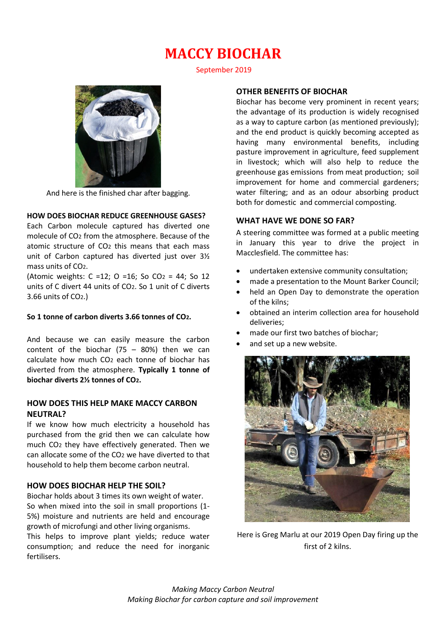# **MACCY BIOCHAR**

September 2019



And here is the finished char after bagging.

## **HOW DOES BIOCHAR REDUCE GREENHOUSE GASES?**

Each Carbon molecule captured has diverted one molecule of CO2 from the atmosphere. Because of the atomic structure of CO2 this means that each mass unit of Carbon captured has diverted just over 3½ mass units of CO2.

(Atomic weights:  $C = 12$ ;  $O = 16$ ; So  $CO<sub>2</sub> = 44$ ; So 12 units of C divert 44 units of CO2. So 1 unit of C diverts 3.66 units of CO2.)

#### **So 1 tonne of carbon diverts 3.66 tonnes of CO2.**

And because we can easily measure the carbon content of the biochar  $(75 - 80%)$  then we can calculate how much CO2 each tonne of biochar has diverted from the atmosphere. **Typically 1 tonne of biochar diverts 2½ tonnes of CO2.**

### **HOW DOES THIS HELP MAKE MACCY CARBON NEUTRAL?**

If we know how much electricity a household has purchased from the grid then we can calculate how much CO2 they have effectively generated. Then we can allocate some of the CO2 we have diverted to that household to help them become carbon neutral.

## **HOW DOES BIOCHAR HELP THE SOIL?**

Biochar holds about 3 times its own weight of water. So when mixed into the soil in small proportions (1- 5%) moisture and nutrients are held and encourage growth of microfungi and other living organisms. This helps to improve plant yields; reduce water consumption; and reduce the need for inorganic fertilisers.

### **OTHER BENEFITS OF BIOCHAR**

Biochar has become very prominent in recent years; the advantage of its production is widely recognised as a way to capture carbon (as mentioned previously); and the end product is quickly becoming accepted as having many environmental benefits, including pasture improvement in agriculture, feed supplement in livestock; which will also help to reduce the greenhouse gas emissions from meat production; soil improvement for home and commercial gardeners; water filtering; and as an odour absorbing product both for domestic and commercial composting.

#### **WHAT HAVE WE DONE SO FAR?**

A steering committee was formed at a public meeting in January this year to drive the project in Macclesfield. The committee has:

- undertaken extensive community consultation;
- made a presentation to the Mount Barker Council;
- held an Open Day to demonstrate the operation of the kilns;
- obtained an interim collection area for household deliveries;
- made our first two batches of biochar;
- and set up a new website.



Here is Greg Marlu at our 2019 Open Day firing up the first of 2 kilns.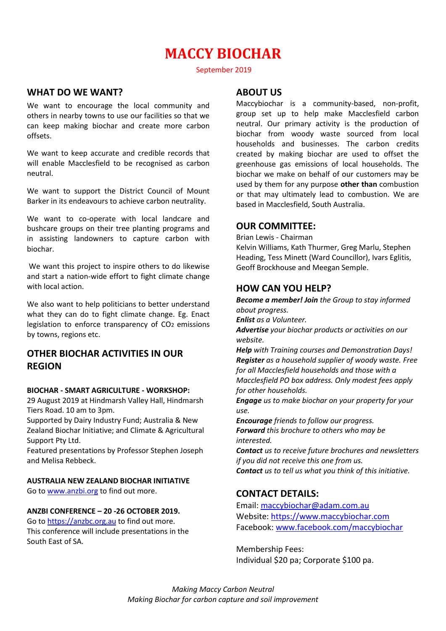## **MACCY BIOCHAR**

September 2019

## **WHAT DO WE WANT?**

We want to encourage the local community and others in nearby towns to use our facilities so that we can keep making biochar and create more carbon offsets.

We want to keep accurate and credible records that will enable Macclesfield to be recognised as carbon neutral.

We want to support the District Council of Mount Barker in its endeavours to achieve carbon neutrality.

We want to co-operate with local landcare and bushcare groups on their tree planting programs and in assisting landowners to capture carbon with biochar.

We want this project to inspire others to do likewise and start a nation-wide effort to fight climate change with local action.

We also want to help politicians to better understand what they can do to fight climate change. Eg. Enact legislation to enforce transparency of CO2 emissions by towns, regions etc.

## **OTHER BIOCHAR ACTIVITIES IN OUR REGION**

#### **BIOCHAR - SMART AGRICULTURE - WORKSHOP:**

29 August 2019 at Hindmarsh Valley Hall, Hindmarsh Tiers Road. 10 am to 3pm.

Supported by Dairy Industry Fund; Australia & New Zealand Biochar Initiative; and Climate & Agricultural Support Pty Ltd.

Featured presentations by Professor Stephen Joseph and Melisa Rebbeck.

## **AUSTRALIA NEW ZEALAND BIOCHAR INITIATIVE**

Go to [www.anzbi.org](http://www.anzbi.org/) to find out more.

#### **ANZBI CONFERENCE – 20 -26 OCTOBER 2019.**

Go to [https://anzbc.org.au](https://anzbc.org.au/) to find out more. This conference will include presentations in the South East of SA.

## **ABOUT US**

Maccybiochar is a community-based, non-profit, group set up to help make Macclesfield carbon neutral. Our primary activity is the production of biochar from woody waste sourced from local households and businesses. The carbon credits created by making biochar are used to offset the greenhouse gas emissions of local households. The biochar we make on behalf of our customers may be used by them for any purpose **other than** combustion or that may ultimately lead to combustion. We are based in Macclesfield, South Australia.

## **OUR COMMITTEE:**

Brian Lewis - Chairman

Kelvin Williams, Kath Thurmer, Greg Marlu, Stephen Heading, Tess Minett (Ward Councillor), Ivars Eglitis, Geoff Brockhouse and Meegan Semple.

## **HOW CAN YOU HELP?**

*Become a member! Join the Group to stay informed about progress. Enlist as a Volunteer. Advertise your biochar products or activities on our website.*

*Help with Training courses and Demonstration Days! Register as a household supplier of woody waste. Free for all Macclesfield households and those with a Macclesfield PO box address. Only modest fees apply for other households.*

*Engage us to make biochar on your property for your use.* 

*Encourage friends to follow our progress. Forward this brochure to others who may be interested.*

*Contact us to receive future brochures and newsletters if you did not receive this one from us. Contact us to tell us what you think of this initiative.*

## **CONTACT DETAILS:**

Email: [maccybiochar@adam.com.au](mailto:maccybiochar@adam.com.au) Website[: https://www.maccybiochar.com](https://www.maccybiochar.com/) Facebook: [www.facebook.com/maccybiochar](http://www.facebook.com/maccybiochar)

Membership Fees: Individual \$20 pa; Corporate \$100 pa.